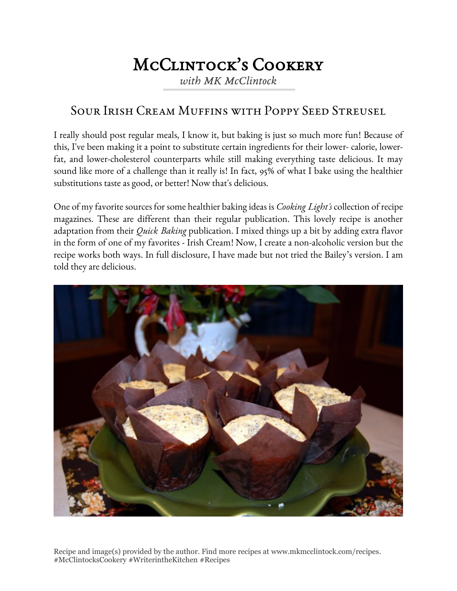## McClintock's Cookery

*with MK McClintock*

## Sour Irish Cream Muffins with Poppy Seed Streusel

I really should post regular meals, I know it, but baking is just so much more fun! Because of this, I've been making it a point to substitute certain ingredients for their lower- calorie, lowerfat, and lower-cholesterol counterparts while still making everything taste delicious. It may sound like more of a challenge than it really is! In fact, 95% of what I bake using the healthier substitutions taste as good, or better! Now that's delicious.

One of my favorite sources for some healthier baking ideas is *Cooking Light's* collection of recipe magazines. These are different than their regular publication. This lovely recipe is another adaptation from their *Quick Baking* publication. I mixed things up a bit by adding extra flavor in the form of one of my favorites - Irish Cream! Now, I create a non-alcoholic version but the recipe works both ways. In full disclosure, I have made but not tried the Bailey's version. I am told they are delicious.



Recipe and image(s) provided by the author. Find more recipes at www.mkmcclintock.com/recipes. #McClintocksCookery #WriterintheKitchen #Recipes